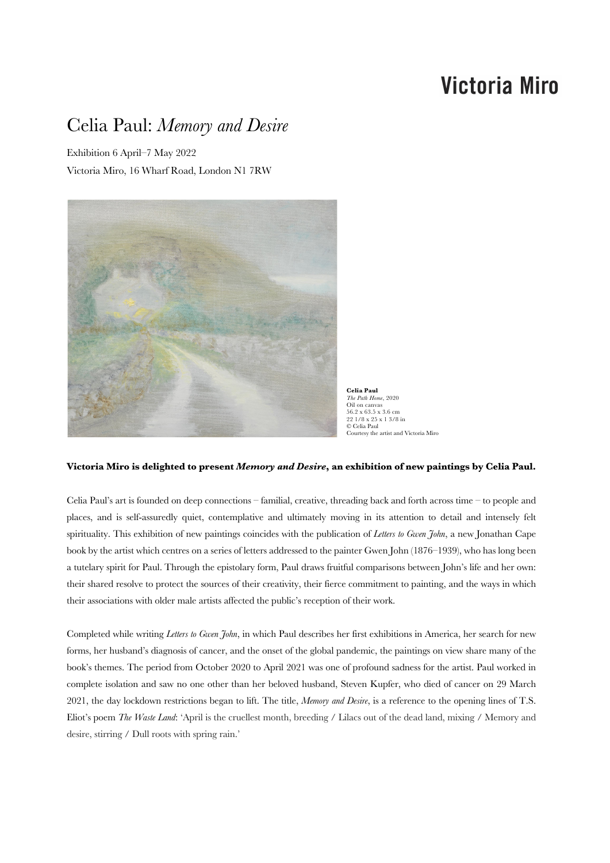# **Victoria Miro**

## Celia Paul: *Memory and Desire*

Exhibition 6 April–7 May 2022 Victoria Miro, 16 Wharf Road, London N1 7RW



**Celia Paul** *The Path Home*, 2020 Oil on canvas 56.2 x 63.5 x 3.6 cm 22 1/8 x 25 x 1 3/8 in © Celia Paul Courtesy the artist and Victoria Miro

#### **Victoria Miro is delighted to present** *Memory and Desire***, an exhibition of new paintings by Celia Paul.**

Celia Paul's art is founded on deep connections – familial, creative, threading back and forth across time – to people and places, and is self-assuredly quiet, contemplative and ultimately moving in its attention to detail and intensely felt spirituality. This exhibition of new paintings coincides with the publication of *Letters to Gwen John*, a new Jonathan Cape book by the artist which centres on a series of letters addressed to the painter Gwen John (1876–1939), who has long been a tutelary spirit for Paul. Through the epistolary form, Paul draws fruitful comparisons between John's life and her own: their shared resolve to protect the sources of their creativity, their fierce commitment to painting, and the ways in which their associations with older male artists affected the public's reception of their work.

Completed while writing *Letters to Gwen John*, in which Paul describes her first exhibitions in America, her search for new forms, her husband's diagnosis of cancer, and the onset of the global pandemic, the paintings on view share many of the book's themes. The period from October 2020 to April 2021 was one of profound sadness for the artist. Paul worked in complete isolation and saw no one other than her beloved husband, Steven Kupfer, who died of cancer on 29 March 2021, the day lockdown restrictions began to lift. The title, *Memory and Desire*, is a reference to the opening lines of T.S. Eliot's poem *The Waste Land*: 'April is the cruellest month, breeding / Lilacs out of the dead land, mixing / Memory and desire, stirring / Dull roots with spring rain.'